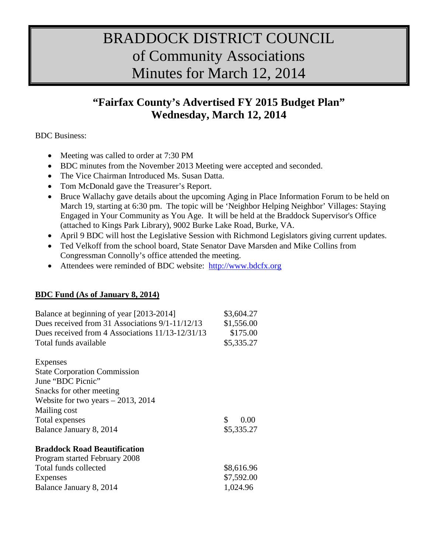# BRADDOCK DISTRICT COUNCIL of Community Associations Minutes for March 12, 2014

## **"Fairfax County's Advertised FY 2015 Budget Plan" Wednesday, March 12, 2014**

BDC Business:

- Meeting was called to order at 7:30 PM
- BDC minutes from the November 2013 Meeting were accepted and seconded.
- The Vice Chairman Introduced Ms. Susan Datta.
- Tom McDonald gave the Treasurer's Report.
- Bruce Wallachy gave details about the upcoming Aging in Place Information Forum to be held on March 19, starting at 6:30 pm. The topic will be 'Neighbor Helping Neighbor' Villages: Staying Engaged in Your Community as You Age. It will be held at the Braddock Supervisor's Office (attached to Kings Park Library), 9002 Burke Lake Road, Burke, VA.
- April 9 BDC will host the Legislative Session with Richmond Legislators giving current updates.
- Ted Velkoff from the school board, State Senator Dave Marsden and Mike Collins from Congressman Connolly's office attended the meeting.
- Attendees were reminded of BDC website: [http://www.bdcfx.org](http://www.bdcfx.org/)

#### **BDC Fund (As of January 8, 2014)**

| Balance at beginning of year [2013-2014]<br>Dues received from 31 Associations $9/1-11/12/13$<br>Dues received from 4 Associations 11/13-12/31/13<br>Total funds available | \$3,604.27<br>\$1,556.00<br>\$175.00<br>\$5,335.27 |
|----------------------------------------------------------------------------------------------------------------------------------------------------------------------------|----------------------------------------------------|
| Expenses                                                                                                                                                                   |                                                    |
| <b>State Corporation Commission</b>                                                                                                                                        |                                                    |
| June "BDC Picnic"                                                                                                                                                          |                                                    |
| Snacks for other meeting                                                                                                                                                   |                                                    |
| Website for two years $-2013$ , 2014                                                                                                                                       |                                                    |
| Mailing cost                                                                                                                                                               |                                                    |
| Total expenses                                                                                                                                                             | \$<br>0.00                                         |
| Balance January 8, 2014                                                                                                                                                    | \$5,335.27                                         |
| <b>Braddock Road Beautification</b>                                                                                                                                        |                                                    |
| Program started February 2008                                                                                                                                              |                                                    |
| Total funds collected                                                                                                                                                      | \$8,616.96                                         |
| Expenses                                                                                                                                                                   | \$7,592.00                                         |
| Balance January 8, 2014                                                                                                                                                    | 1,024.96                                           |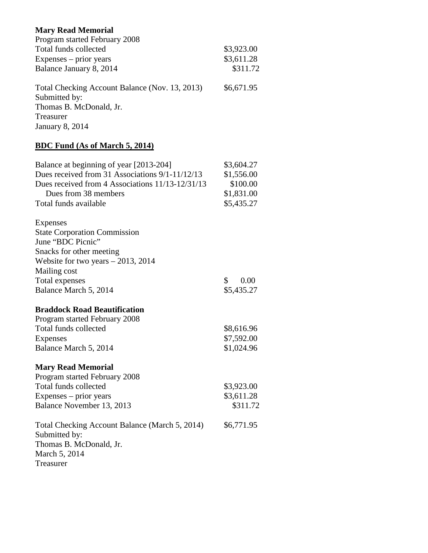#### **Mary Read Memorial**

| Program started February 2008                  |            |
|------------------------------------------------|------------|
| Total funds collected                          | \$3,923.00 |
| $Expenses - prior years$                       | \$3,611.28 |
| Balance January 8, 2014                        | \$311.72   |
| Total Checking Account Balance (Nov. 13, 2013) | \$6,671.95 |
| Submitted by:                                  |            |
| Thomas B. McDonald, Jr.                        |            |
| Treasurer                                      |            |
| <b>January 8, 2014</b>                         |            |

### **BDC Fund (As of March 5, 2014)**

| Balance at beginning of year [2013-204]                         | \$3,604.27 |
|-----------------------------------------------------------------|------------|
| Dues received from 31 Associations 9/1-11/12/13                 | \$1,556.00 |
| Dues received from 4 Associations 11/13-12/31/13                | \$100.00   |
| Dues from 38 members                                            | \$1,831.00 |
| Total funds available                                           | \$5,435.27 |
| <b>Expenses</b>                                                 |            |
| <b>State Corporation Commission</b>                             |            |
| June "BDC Picnic"                                               |            |
| Snacks for other meeting                                        |            |
| Website for two years $-2013$ , 2014                            |            |
| Mailing cost                                                    |            |
| Total expenses                                                  | \$<br>0.00 |
| Balance March 5, 2014                                           | \$5,435.27 |
| <b>Braddock Road Beautification</b>                             |            |
| Program started February 2008                                   |            |
| Total funds collected                                           | \$8,616.96 |
| <b>Expenses</b>                                                 | \$7,592.00 |
| Balance March 5, 2014                                           | \$1,024.96 |
| <b>Mary Read Memorial</b>                                       |            |
| Program started February 2008                                   |            |
| Total funds collected                                           | \$3,923.00 |
| Expenses – prior years                                          | \$3,611.28 |
| Balance November 13, 2013                                       | \$311.72   |
| Total Checking Account Balance (March 5, 2014)<br>Submitted by: | \$6,771.95 |
| Thomas B. McDonald, Jr.                                         |            |
| March 5, 2014                                                   |            |
| Treasurer                                                       |            |